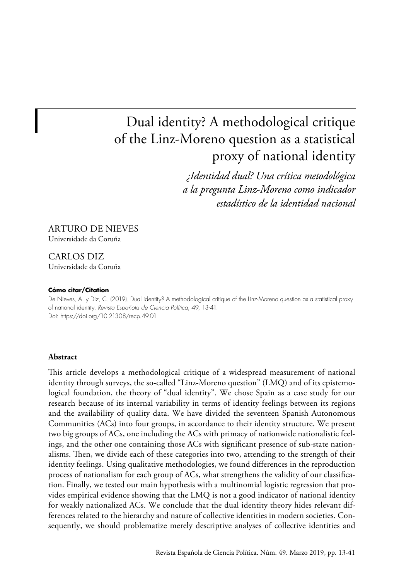# Dual identity? A methodological critique of the Linz-Moreno question as a statistical proxy of national identity

*¿Identidad dual? Una crítica metodológica a la pregunta Linz-Moreno como indicador estadístico de la identidad nacional*

### ARTURO DE NIEVES Universidade da Coruña

CARLOS DIZ Universidade da Coruña

#### **Cómo citar/Citation**

De Nieves, A. y Diz, C. (2019). Dual identity? A methodological critique of the Linz-Moreno question as a statistical proxy of national identity. *Revista Española de Ciencia Política*, 49, 13-41. Doi: <https://doi.org/10.21308/recp.49.01>

#### **Abstract**

This article develops a methodological critique of a widespread measurement of national identity through surveys, the so-called "Linz-Moreno question" (LMQ) and of its epistemological foundation, the theory of "dual identity". We chose Spain as a case study for our research because of its internal variability in terms of identity feelings between its regions and the availability of quality data. We have divided the seventeen Spanish Autonomous Communities (ACs) into four groups, in accordance to their identity structure. We present two big groups of ACs, one including the ACs with primacy of nationwide nationalistic feelings, and the other one containing those ACs with significant presence of sub-state nationalisms. Then, we divide each of these categories into two, attending to the strength of their identity feelings. Using qualitative methodologies, we found differences in the reproduction process of nationalism for each group of ACs, what strengthens the validity of our classification. Finally, we tested our main hypothesis with a multinomial logistic regression that provides empirical evidence showing that the LMQ is not a good indicator of national identity for weakly nationalized ACs. We conclude that the dual identity theory hides relevant differences related to the hierarchy and nature of collective identities in modern societies. Consequently, we should problematize merely descriptive analyses of collective identities and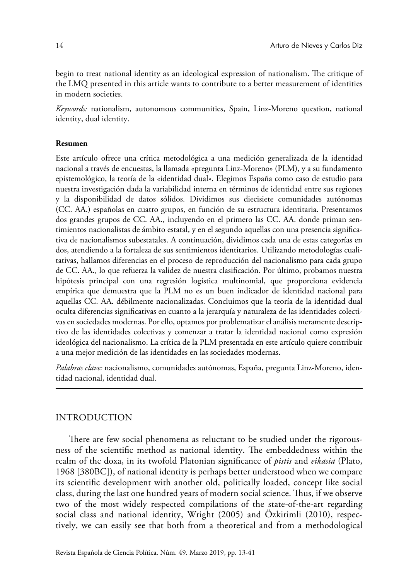begin to treat national identity as an ideological expression of nationalism. The critique of the LMQ presented in this article wants to contribute to a better measurement of identities in modern societies.

*Keywords:* nationalism, autonomous communities, Spain, Linz-Moreno question, national identity, dual identity.

#### **Resumen**

Este artículo ofrece una crítica metodológica a una medición generalizada de la identidad nacional a través de encuestas, la llamada «pregunta Linz-Moreno» (PLM), y a su fundamento epistemológico, la teoría de la «identidad dual». Elegimos España como caso de estudio para nuestra investigación dada la variabilidad interna en términos de identidad entre sus regiones y la disponibilidad de datos sólidos. Dividimos sus diecisiete comunidades autónomas (CC. AA.) españolas en cuatro grupos, en función de su estructura identitaria. Presentamos dos grandes grupos de CC. AA., incluyendo en el primero las CC. AA. donde priman sentimientos nacionalistas de ámbito estatal, y en el segundo aquellas con una presencia significativa de nacionalismos subestatales. A continuación, dividimos cada una de estas categorías en dos, atendiendo a la fortaleza de sus sentimientos identitarios. Utilizando metodologías cualitativas, hallamos diferencias en el proceso de reproducción del nacionalismo para cada grupo de CC. AA., lo que refuerza la validez de nuestra clasificación. Por último, probamos nuestra hipótesis principal con una regresión logística multinomial, que proporciona evidencia empírica que demuestra que la PLM no es un buen indicador de identidad nacional para aquellas CC. AA. débilmente nacionalizadas. Concluimos que la teoría de la identidad dual oculta diferencias significativas en cuanto a la jerarquía y naturaleza de las identidades colectivas en sociedades modernas. Por ello, optamos por problematizar el análisis meramente descriptivo de las identidades colectivas y comenzar a tratar la identidad nacional como expresión ideológica del nacionalismo. La crítica de la PLM presentada en este artículo quiere contribuir a una mejor medición de las identidades en las sociedades modernas.

*Palabras clave:* nacionalismo, comunidades autónomas, España, pregunta Linz-Moreno, identidad nacional, identidad dual.

### INTRODUCTION

There are few social phenomena as reluctant to be studied under the rigorousness of the scientific method as national identity. The embeddedness within the realm of the doxa, in its twofold Platonian significance of *pistis* and *eikasia* (Plato, 1968 [380BC]), of national identity is perhaps better understood when we compare its scientific development with another old, politically loaded, concept like social class, during the last one hundred years of modern social science. Thus, if we observe two of the most widely respected compilations of the state-of-the-art regarding social class and national identity, Wright (2005) and Özkirimli (2010), respectively, we can easily see that both from a theoretical and from a methodological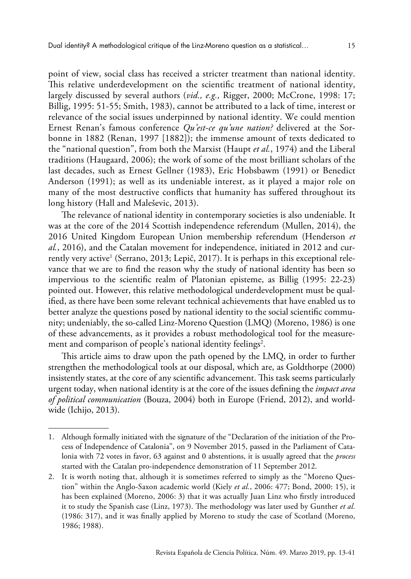point of view, social class has received a stricter treatment than national identity. This relative underdevelopment on the scientific treatment of national identity, largely discussed by several authors (*vid., e.g.,* Rigger, 2000; McCrone, 1998: 17; Billig, 1995: 51-55; Smith, 1983), cannot be attributed to a lack of time, interest or relevance of the social issues underpinned by national identity. We could mention Ernest Renan's famous conference *Qu'est-ce qu'une nation?* delivered at the Sorbonne in 1882 (Renan, 1997 [1882]); the immense amount of texts dedicated to the "national question", from both the Marxist (Haupt *et al.*, 1974) and the Liberal traditions (Haugaard, 2006); the work of some of the most brilliant scholars of the last decades, such as Ernest Gellner (1983), Eric Hobsbawm (1991) or Benedict Anderson (1991); as well as its undeniable interest, as it played a major role on many of the most destructive conflicts that humanity has suffered throughout its long history (Hall and Maleševic, 2013).

The relevance of national identity in contemporary societies is also undeniable. It was at the core of the 2014 Scottish independence referendum (Mullen, 2014), the 2016 United Kingdom European Union membership referendum (Henderson *et al.*, 2016), and the Catalan movement for independence, initiated in 2012 and currently very active<sup>1</sup> (Serrano, 2013; Lepič, 2017). It is perhaps in this exceptional relevance that we are to find the reason why the study of national identity has been so impervious to the scientific realm of Platonian episteme, as Billig (1995: 22-23) pointed out. However, this relative methodological underdevelopment must be qualified, as there have been some relevant technical achievements that have enabled us to better analyze the questions posed by national identity to the social scientific community; undeniably, the so-called Linz-Moreno Question (LMQ) (Moreno, 1986) is one of these advancements, as it provides a robust methodological tool for the measurement and comparison of people's national identity feelings $^2\!$ .

This article aims to draw upon the path opened by the LMQ, in order to further strengthen the methodological tools at our disposal, which are, as Goldthorpe (2000) insistently states, at the core of any scientific advancement. This task seems particularly urgent today, when national identity is at the core of the issues defining the *impact area of political communication* (Bouza, 2004) both in Europe (Friend, 2012), and worldwide (Ichijo, 2013).

<sup>1.</sup> Although formally initiated with the signature of the "Declaration of the initiation of the Process of Independence of Catalonia", on 9 November 2015, passed in the Parliament of Catalonia with 72 votes in favor, 63 against and 0 abstentions, it is usually agreed that the *process* started with the Catalan pro-independence demonstration of 11 September 2012.

<sup>2.</sup> It is worth noting that, although it is sometimes referred to simply as the "Moreno Question" within the Anglo-Saxon academic world (Kiely *et al.*, 2006: 477; Bond, 2000: 15), it has been explained (Moreno, 2006: 3) that it was actually Juan Linz who firstly introduced it to study the Spanish case (Linz, 1973). The methodology was later used by Gunther *et al.* (1986: 317), and it was finally applied by Moreno to study the case of Scotland (Moreno, 1986; 1988).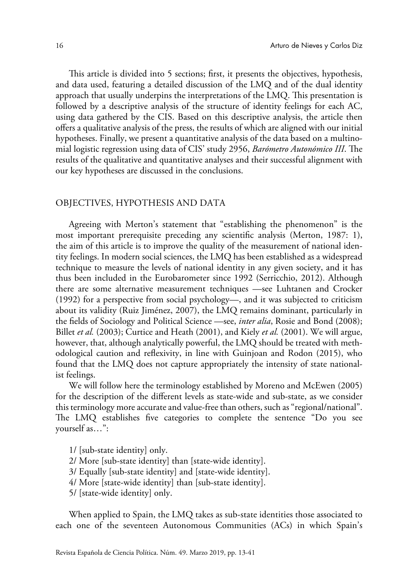This article is divided into 5 sections; first, it presents the objectives, hypothesis, and data used, featuring a detailed discussion of the LMQ and of the dual identity approach that usually underpins the interpretations of the LMQ. This presentation is followed by a descriptive analysis of the structure of identity feelings for each AC, using data gathered by the CIS. Based on this descriptive analysis, the article then offers a qualitative analysis of the press, the results of which are aligned with our initial hypotheses. Finally, we present a quantitative analysis of the data based on a multinomial logistic regression using data of CIS' study 2956, *Barómetro Autonómico III*. The results of the qualitative and quantitative analyses and their successful alignment with our key hypotheses are discussed in the conclusions.

#### OBJECTIVES, HYPOTHESIS AND DATA

Agreeing with Merton's statement that "establishing the phenomenon" is the most important prerequisite preceding any scientific analysis (Merton, 1987: 1), the aim of this article is to improve the quality of the measurement of national identity feelings. In modern social sciences, the LMQ has been established as a widespread technique to measure the levels of national identity in any given society, and it has thus been included in the Eurobarometer since 1992 (Serricchio, 2012). Although there are some alternative measurement techniques —see Luhtanen and Crocker (1992) for a perspective from social psychology—, and it was subjected to criticism about its validity (Ruiz Jiménez, 2007), the LMQ remains dominant, particularly in the fields of Sociology and Political Science —see, *inter alia*, Rosie and Bond (2008); Billet *et al.* (2003); Curtice and Heath (2001), and Kiely *et al.* (2001). We will argue, however, that, although analytically powerful, the LMQ should be treated with methodological caution and reflexivity, in line with Guinjoan and Rodon (2015), who found that the LMQ does not capture appropriately the intensity of state nationalist feelings.

We will follow here the terminology established by Moreno and McEwen (2005) for the description of the different levels as state-wide and sub-state, as we consider this terminology more accurate and value-free than others, such as "regional/national". The LMQ establishes five categories to complete the sentence "Do you see yourself as…":

- 1/ [sub-state identity] only.
- 2/ More [sub-state identity] than [state-wide identity].
- 3/ Equally [sub-state identity] and [state-wide identity].
- 4/ More [state-wide identity] than [sub-state identity].
- 5/ [state-wide identity] only.

When applied to Spain, the LMQ takes as sub-state identities those associated to each one of the seventeen Autonomous Communities (ACs) in which Spain's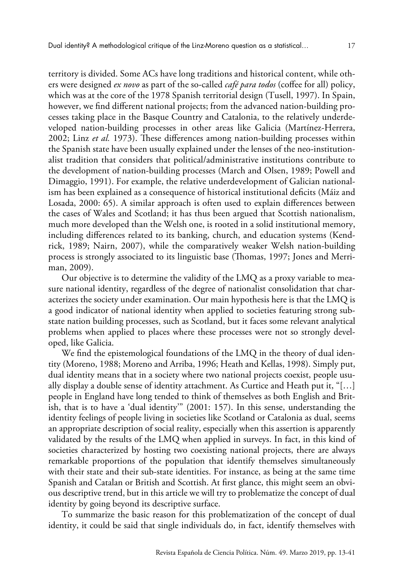territory is divided. Some ACs have long traditions and historical content, while others were designed *ex novo* as part of the so-called *café para todos* (coffee for all) policy, which was at the core of the 1978 Spanish territorial design (Tusell, 1997). In Spain, however, we find different national projects; from the advanced nation-building processes taking place in the Basque Country and Catalonia, to the relatively underdeveloped nation-building processes in other areas like Galicia (Martínez-Herrera, 2002; Linz *et al.* 1973). These differences among nation-building processes within the Spanish state have been usually explained under the lenses of the neo-institutionalist tradition that considers that political/administrative institutions contribute to the development of nation-building processes (March and Olsen, 1989; Powell and Dimaggio, 1991). For example, the relative underdevelopment of Galician nationalism has been explained as a consequence of historical institutional deficits (Máiz and Losada, 2000: 65). A similar approach is often used to explain differences between the cases of Wales and Scotland; it has thus been argued that Scottish nationalism, much more developed than the Welsh one, is rooted in a solid institutional memory, including differences related to its banking, church, and education systems (Kendrick, 1989; Nairn, 2007), while the comparatively weaker Welsh nation-building process is strongly associated to its linguistic base (Thomas, 1997; Jones and Merriman, 2009).

Our objective is to determine the validity of the LMQ as a proxy variable to measure national identity, regardless of the degree of nationalist consolidation that characterizes the society under examination. Our main hypothesis here is that the LMQ is a good indicator of national identity when applied to societies featuring strong substate nation building processes, such as Scotland, but it faces some relevant analytical problems when applied to places where these processes were not so strongly developed, like Galicia.

We find the epistemological foundations of the LMQ in the theory of dual identity (Moreno, 1988; Moreno and Arriba, 1996; Heath and Kellas, 1998). Simply put, dual identity means that in a society where two national projects coexist, people usually display a double sense of identity attachment. As Curtice and Heath put it, "[…] people in England have long tended to think of themselves as both English and British, that is to have a 'dual identity'" (2001: 157). In this sense, understanding the identity feelings of people living in societies like Scotland or Catalonia as dual, seems an appropriate description of social reality, especially when this assertion is apparently validated by the results of the LMQ when applied in surveys. In fact, in this kind of societies characterized by hosting two coexisting national projects, there are always remarkable proportions of the population that identify themselves simultaneously with their state and their sub-state identities. For instance, as being at the same time Spanish and Catalan or British and Scottish. At first glance, this might seem an obvious descriptive trend, but in this article we will try to problematize the concept of dual identity by going beyond its descriptive surface.

To summarize the basic reason for this problematization of the concept of dual identity, it could be said that single individuals do, in fact, identify themselves with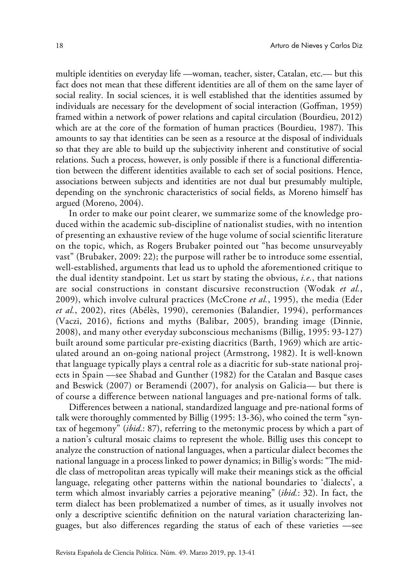multiple identities on everyday life —woman, teacher, sister, Catalan, etc.— but this fact does not mean that these different identities are all of them on the same layer of social reality. In social sciences, it is well established that the identities assumed by individuals are necessary for the development of social interaction (Goffman, 1959) framed within a network of power relations and capital circulation (Bourdieu, 2012) which are at the core of the formation of human practices (Bourdieu, 1987). This amounts to say that identities can be seen as a resource at the disposal of individuals so that they are able to build up the subjectivity inherent and constitutive of social relations. Such a process, however, is only possible if there is a functional differentiation between the different identities available to each set of social positions. Hence, associations between subjects and identities are not dual but presumably multiple, depending on the synchronic characteristics of social fields, as Moreno himself has argued (Moreno, 2004).

In order to make our point clearer, we summarize some of the knowledge produced within the academic sub-discipline of nationalist studies, with no intention of presenting an exhaustive review of the huge volume of social scientific literature on the topic, which, as Rogers Brubaker pointed out "has become unsurveyably vast" (Brubaker, 2009: 22); the purpose will rather be to introduce some essential, well-established, arguments that lead us to uphold the aforementioned critique to the dual identity standpoint. Let us start by stating the obvious, *i.e.*, that nations are social constructions in constant discursive reconstruction (Wodak *et al.*, 2009), which involve cultural practices (McCrone *et al.*, 1995), the media (Eder *et al.*, 2002), rites (Abélès, 1990), ceremonies (Balandier, 1994), performances (Vaczi, 2016), fictions and myths (Balibar, 2005), branding image (Dinnie, 2008), and many other everyday subconscious mechanisms (Billig, 1995: 93-127) built around some particular pre-existing diacritics (Barth, 1969) which are articulated around an on-going national project (Armstrong, 1982). It is well-known that language typically plays a central role as a diacritic for sub-state national projects in Spain —see Shabad and Gunther (1982) for the Catalan and Basque cases and Beswick (2007) or Beramendi (2007), for analysis on Galicia— but there is of course a difference between national languages and pre-national forms of talk.

Differences between a national, standardized language and pre-national forms of talk were thoroughly commented by Billig (1995: 13-36), who coined the term "syntax of hegemony" (*ibid*.: 87), referring to the metonymic process by which a part of a nation's cultural mosaic claims to represent the whole. Billig uses this concept to analyze the construction of national languages, when a particular dialect becomes the national language in a process linked to power dynamics; in Billig's words: "The middle class of metropolitan areas typically will make their meanings stick as the official language, relegating other patterns within the national boundaries to 'dialects', a term which almost invariably carries a pejorative meaning" (*ibid.*: 32). In fact, the term dialect has been problematized a number of times, as it usually involves not only a descriptive scientific definition on the natural variation characterizing languages, but also differences regarding the status of each of these varieties —see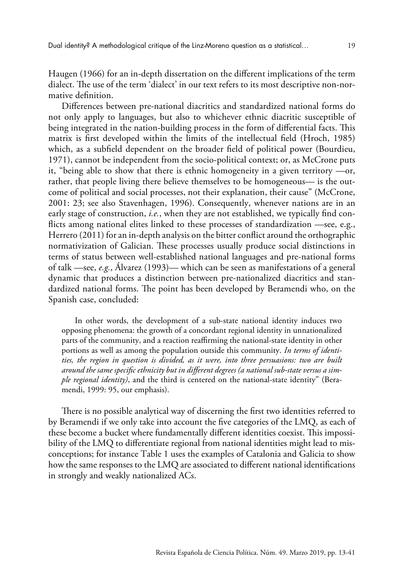Haugen (1966) for an in-depth dissertation on the different implications of the term dialect. The use of the term 'dialect' in our text refers to its most descriptive non-normative definition.

Differences between pre-national diacritics and standardized national forms do not only apply to languages, but also to whichever ethnic diacritic susceptible of being integrated in the nation-building process in the form of differential facts. This matrix is first developed within the limits of the intellectual field (Hroch, 1985) which, as a subfield dependent on the broader field of political power (Bourdieu, 1971), cannot be independent from the socio-political context; or, as McCrone puts it, "being able to show that there is ethnic homogeneity in a given territory —or, rather, that people living there believe themselves to be homogeneous— is the outcome of political and social processes, not their explanation, their cause" (McCrone, 2001: 23; see also Stavenhagen, 1996). Consequently, whenever nations are in an early stage of construction, *i.e.*, when they are not established, we typically find conflicts among national elites linked to these processes of standardization —see, e.g., Herrero (2011) for an in-depth analysis on the bitter conflict around the orthographic normativization of Galician. These processes usually produce social distinctions in terms of status between well-established national languages and pre-national forms of talk —see, *e.g.*, Álvarez (1993)— which can be seen as manifestations of a general dynamic that produces a distinction between pre-nationalized diacritics and standardized national forms. The point has been developed by Beramendi who, on the Spanish case, concluded:

In other words, the development of a sub-state national identity induces two opposing phenomena: the growth of a concordant regional identity in unnationalized parts of the community, and a reaction reaffirming the national-state identity in other portions as well as among the population outside this community. *In terms of identities, the region in question is divided, as it were, into three persuasions: two are built around the same specific ethnicity but in different degrees (a national sub-state versus a simple regional identity)*, and the third is centered on the national-state identity" (Beramendi, 1999: 95, our emphasis).

There is no possible analytical way of discerning the first two identities referred to by Beramendi if we only take into account the five categories of the LMQ, as each of these become a bucket where fundamentally different identities coexist. This impossibility of the LMQ to differentiate regional from national identities might lead to misconceptions; for instance Table 1 uses the examples of Catalonia and Galicia to show how the same responses to the LMQ are associated to different national identifications in strongly and weakly nationalized ACs.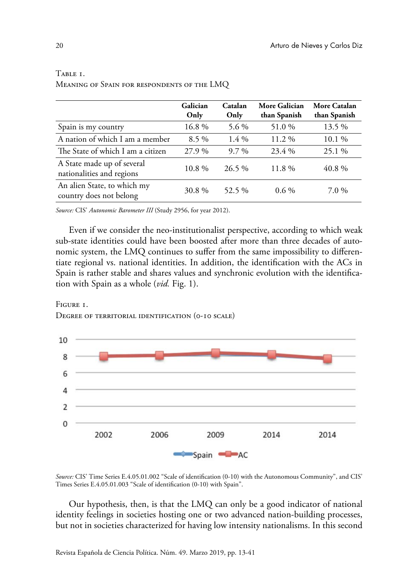|                                                         | Galician<br>Only | Catalan<br>Only | More Galician<br>than Spanish | More Catalan<br>than Spanish |
|---------------------------------------------------------|------------------|-----------------|-------------------------------|------------------------------|
| Spain is my country                                     | 16.8%            | 5.6 %           | 51.0 %                        | 13.5 %                       |
| A nation of which I am a member                         | $8.5\%$          | $1.4\%$         | $11.2\%$                      | 10.1 %                       |
| The State of which I am a citizen                       | 27.9 %           | $9.7\%$         | 23.4 %                        | 25.1 %                       |
| A State made up of several<br>nationalities and regions | 10.8%            | 26.5 %          | $11.8\%$                      | 40.8%                        |
| An alien State, to which my<br>country does not belong  | 30.8%            | 52.5 %          | $0.6\%$                       | $7.0\%$                      |

# TABLE <sub>1</sub>. Meaning of Spain for respondents of the LMQ

*Source:* CIS' *Autonomic Barometer III* (Study 2956, for year 2012).

Even if we consider the neo-institutionalist perspective, according to which weak sub-state identities could have been boosted after more than three decades of autonomic system, the LMQ continues to suffer from the same impossibility to differentiate regional vs. national identities. In addition, the identification with the ACs in Spain is rather stable and shares values and synchronic evolution with the identification with Spain as a whole (*vid.* Fig. 1).

### Figure 1. Degree of territorial identification (0-10 scale)



*Source:* CIS' Time Series E.4.05.01.002 "Scale of identification (0-10) with the Autonomous Community", and CIS' Times Series E.4.05.01.003 "Scale of identification (0-10) with Spain".

Our hypothesis, then, is that the LMQ can only be a good indicator of national identity feelings in societies hosting one or two advanced nation-building processes, but not in societies characterized for having low intensity nationalisms. In this second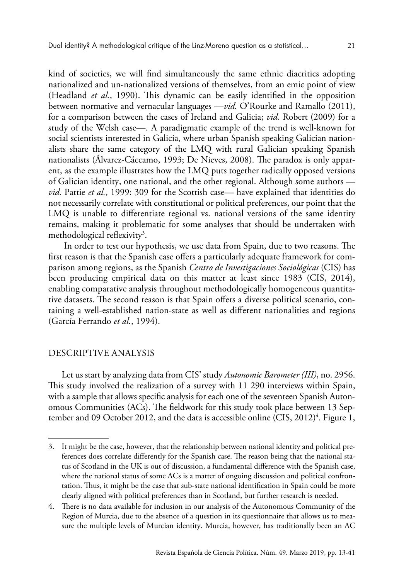kind of societies, we will find simultaneously the same ethnic diacritics adopting nationalized and un-nationalized versions of themselves, from an emic point of view (Headland *et al.*, 1990). This dynamic can be easily identified in the opposition between normative and vernacular languages —*vid.* O'Rourke and Ramallo (2011), for a comparison between the cases of Ireland and Galicia; *vid.* Robert (2009) for a study of the Welsh case—. A paradigmatic example of the trend is well-known for social scientists interested in Galicia, where urban Spanish speaking Galician nationalists share the same category of the LMQ with rural Galician speaking Spanish nationalists (Álvarez-Cáccamo, 1993; De Nieves, 2008). The paradox is only apparent, as the example illustrates how the LMQ puts together radically opposed versions of Galician identity, one national, and the other regional. Although some authors *vid.* Pattie *et al.*, 1999: 309 for the Scottish case— have explained that identities do not necessarily correlate with constitutional or political preferences, our point that the LMQ is unable to differentiate regional vs. national versions of the same identity remains, making it problematic for some analyses that should be undertaken with methodological reflexivity<sup>3</sup>.

 In order to test our hypothesis, we use data from Spain, due to two reasons. The first reason is that the Spanish case offers a particularly adequate framework for comparison among regions, as the Spanish *Centro de Investigaciones Sociológicas* (CIS) has been producing empirical data on this matter at least since 1983 (CIS, 2014), enabling comparative analysis throughout methodologically homogeneous quantitative datasets. The second reason is that Spain offers a diverse political scenario, containing a well-established nation-state as well as different nationalities and regions (García Ferrando *et al.*, 1994).

### DESCRIPTIVE ANALYSIS

Let us start by analyzing data from CIS' study *Autonomic Barometer (III)*, no. 2956. This study involved the realization of a survey with 11 290 interviews within Spain, with a sample that allows specific analysis for each one of the seventeen Spanish Autonomous Communities (ACs). The fieldwork for this study took place between 13 September and 09 October 2012, and the data is accessible online (CIS, 2012)<sup>4</sup>. Figure 1,

<sup>3.</sup> It might be the case, however, that the relationship between national identity and political preferences does correlate differently for the Spanish case. The reason being that the national status of Scotland in the UK is out of discussion, a fundamental difference with the Spanish case, where the national status of some ACs is a matter of ongoing discussion and political confrontation. Thus, it might be the case that sub-state national identification in Spain could be more clearly aligned with political preferences than in Scotland, but further research is needed.

<sup>4.</sup> There is no data available for inclusion in our analysis of the Autonomous Community of the Region of Murcia, due to the absence of a question in its questionnaire that allows us to measure the multiple levels of Murcian identity. Murcia, however, has traditionally been an AC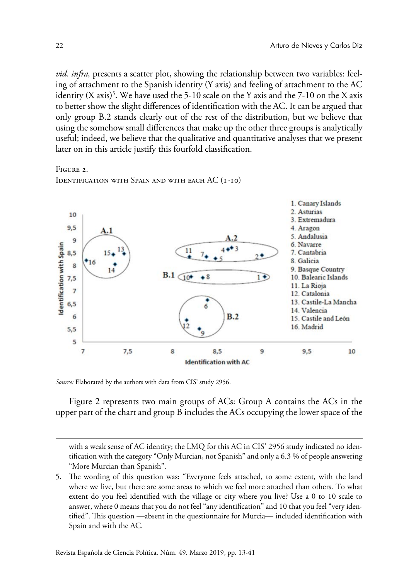*vid. infra,* presents a scatter plot, showing the relationship between two variables: feeling of attachment to the Spanish identity (Y axis) and feeling of attachment to the AC identity (X axis)<sup>5</sup>. We have used the 5-10 scale on the Y axis and the 7-10 on the X axis to better show the slight differences of identification with the AC. It can be argued that only group B.2 stands clearly out of the rest of the distribution, but we believe that using the somehow small differences that make up the other three groups is analytically useful; indeed, we believe that the qualitative and quantitative analyses that we present later on in this article justify this fourfold classification.

Figure 2.

IDENTIFICATION WITH SPAIN AND WITH EACH AC (I-IO)



*Source:* Elaborated by the authors with data from CIS' study 2956.

Figure 2 represents two main groups of ACs: Group A contains the ACs in the upper part of the chart and group B includes the ACs occupying the lower space of the

with a weak sense of AC identity; the LMQ for this AC in CIS' 2956 study indicated no identification with the category "Only Murcian, not Spanish" and only a 6.3 % of people answering "More Murcian than Spanish".

<sup>5.</sup> The wording of this question was: "Everyone feels attached, to some extent, with the land where we live, but there are some areas to which we feel more attached than others. To what extent do you feel identified with the village or city where you live? Use a 0 to 10 scale to answer, where 0 means that you do not feel "any identification" and 10 that you feel "very identified". This question —absent in the questionnaire for Murcia— included identification with Spain and with the AC.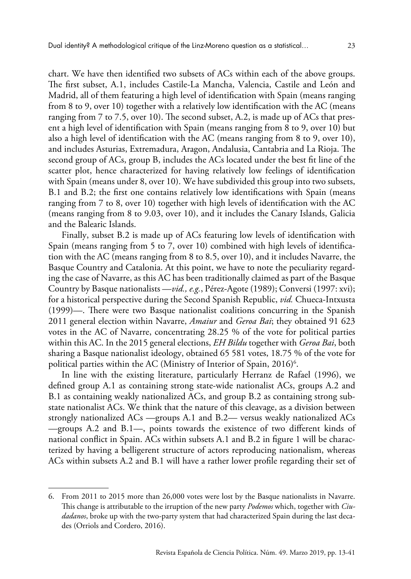chart. We have then identified two subsets of ACs within each of the above groups. The first subset, A.1, includes Castile-La Mancha, Valencia, Castile and León and Madrid, all of them featuring a high level of identification with Spain (means ranging from 8 to 9, over 10) together with a relatively low identification with the AC (means ranging from 7 to 7.5, over 10). The second subset, A.2, is made up of ACs that present a high level of identification with Spain (means ranging from 8 to 9, over 10) but also a high level of identification with the AC (means ranging from 8 to 9, over 10), and includes Asturias, Extremadura, Aragon, Andalusia, Cantabria and La Rioja. The second group of ACs, group B, includes the ACs located under the best fit line of the scatter plot, hence characterized for having relatively low feelings of identification

with Spain (means under 8, over 10). We have subdivided this group into two subsets, B.1 and B.2; the first one contains relatively low identifications with Spain (means ranging from 7 to 8, over 10) together with high levels of identification with the AC (means ranging from 8 to 9.03, over 10), and it includes the Canary Islands, Galicia and the Balearic Islands.

Finally, subset B.2 is made up of ACs featuring low levels of identification with Spain (means ranging from 5 to 7, over 10) combined with high levels of identification with the AC (means ranging from 8 to 8.5, over 10), and it includes Navarre, the Basque Country and Catalonia. At this point, we have to note the peculiarity regarding the case of Navarre, as this AC has been traditionally claimed as part of the Basque Country by Basque nationalists —*vid., e.g.*, Pérez-Agote (1989); Conversi (1997: xvi); for a historical perspective during the Second Spanish Republic, *vid.* Chueca-Intxusta (1999)—. There were two Basque nationalist coalitions concurring in the Spanish 2011 general election within Navarre, *Amaiur* and *Geroa Bai*; they obtained 91 623 votes in the AC of Navarre, concentrating 28.25 % of the vote for political parties within this AC. In the 2015 general elections, *EH Bildu* together with *Geroa Bai*, both sharing a Basque nationalist ideology, obtained 65 581 votes, 18.75 % of the vote for political parties within the AC (Ministry of Interior of Spain, 2016) $^6$ .

In line with the existing literature, particularly Herranz de Rafael (1996), we defined group A.1 as containing strong state-wide nationalist ACs, groups A.2 and B.1 as containing weakly nationalized ACs, and group B.2 as containing strong substate nationalist ACs. We think that the nature of this cleavage, as a division between strongly nationalized ACs —groups A.1 and B.2— versus weakly nationalized ACs —groups A.2 and B.1—, points towards the existence of two different kinds of national conflict in Spain. ACs within subsets A.1 and B.2 in figure 1 will be characterized by having a belligerent structure of actors reproducing nationalism, whereas ACs within subsets A.2 and B.1 will have a rather lower profile regarding their set of

<sup>6.</sup> From 2011 to 2015 more than 26,000 votes were lost by the Basque nationalists in Navarre. This change is attributable to the irruption of the new party *Podemos* which, together with *Ciudadanos*, broke up with the two-party system that had characterized Spain during the last decades (Orriols and Cordero, 2016).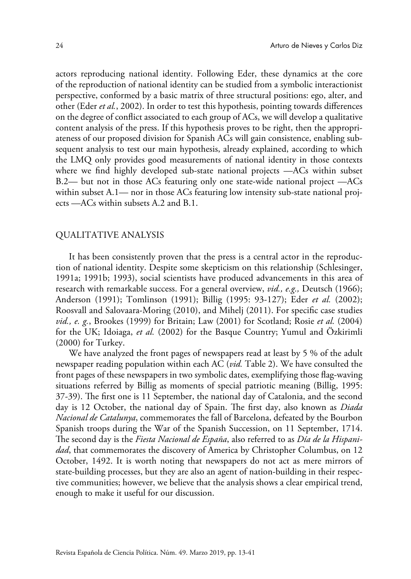actors reproducing national identity. Following Eder, these dynamics at the core of the reproduction of national identity can be studied from a symbolic interactionist perspective, conformed by a basic matrix of three structural positions: ego, alter, and other (Eder *et al.*, 2002). In order to test this hypothesis, pointing towards differences on the degree of conflict associated to each group of ACs, we will develop a qualitative content analysis of the press. If this hypothesis proves to be right, then the appropriateness of our proposed division for Spanish ACs will gain consistence, enabling subsequent analysis to test our main hypothesis, already explained, according to which the LMQ only provides good measurements of national identity in those contexts where we find highly developed sub-state national projects —ACs within subset B.2— but not in those ACs featuring only one state-wide national project —ACs within subset A.1— nor in those ACs featuring low intensity sub-state national projects —ACs within subsets A.2 and B.1.

### QUALITATIVE ANALYSIS

It has been consistently proven that the press is a central actor in the reproduction of national identity. Despite some skepticism on this relationship (Schlesinger, 1991a; 1991b; 1993), social scientists have produced advancements in this area of research with remarkable success. For a general overview, *vid., e.g.,* Deutsch (1966); Anderson (1991); Tomlinson (1991); Billig (1995: 93-127); Eder *et al.* (2002); Roosvall and Salovaara-Moring (2010), and Mihelj (2011). For specific case studies *vid., e. g.*, Brookes (1999) for Britain; Law (2001) for Scotland; Rosie *et al.* (2004) for the UK; Idoiaga, *et al.* (2002) for the Basque Country; Yumul and Özkirimli (2000) for Turkey.

We have analyzed the front pages of newspapers read at least by 5 % of the adult newspaper reading population within each AC (*vid.* Table 2). We have consulted the front pages of these newspapers in two symbolic dates, exemplifying those flag-waving situations referred by Billig as moments of special patriotic meaning (Billig, 1995: 37-39). The first one is 11 September, the national day of Catalonia, and the second day is 12 October, the national day of Spain. The first day, also known as *Diada Nacional de Catalunya*, commemorates the fall of Barcelona, defeated by the Bourbon Spanish troops during the War of the Spanish Succession, on 11 September, 1714. The second day is the *Fiesta Nacional de España*, also referred to as *Día de la Hispanidad*, that commemorates the discovery of America by Christopher Columbus, on 12 October, 1492. It is worth noting that newspapers do not act as mere mirrors of state-building processes, but they are also an agent of nation-building in their respective communities; however, we believe that the analysis shows a clear empirical trend, enough to make it useful for our discussion.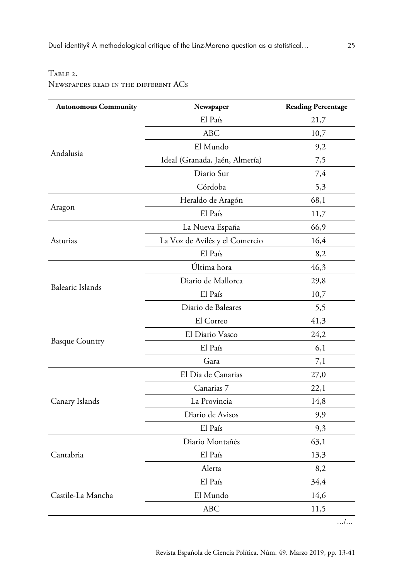# TABLE 2.

Newspapers read in the different ACs

| El País<br>21,7<br><b>ABC</b><br>10,7<br>El Mundo<br>9,2<br>Andalusia<br>Ideal (Granada, Jaén, Almería)<br>7,5<br>Diario Sur<br>7,4<br>Córdoba<br>5,3<br>Heraldo de Aragón<br>68,1<br>Aragon<br>El País<br>11,7<br>66,9<br>La Nueva España<br>16,4<br>Asturias<br>La Voz de Avilés y el Comercio<br>El País<br>8,2<br>Última hora<br>46,3<br>Diario de Mallorca<br>29,8<br><b>Balearic Islands</b><br>El País<br>10,7<br>Diario de Baleares<br>5,5<br>El Correo<br>41,3<br>24,2<br>El Diario Vasco<br><b>Basque Country</b><br>El País<br>6,1<br>Gara<br>7,1<br>El Día de Canarias<br>27,0<br>Canarias 7<br>22,1<br>La Provincia<br>14,8<br>Canary Islands<br>Diario de Avisos<br>9,9<br>El País<br>9,3<br>Diario Montañés<br>63,1<br>Cantabria<br>El País<br>13,3<br>Alerta<br>8,2<br>El País<br>34,4<br>El Mundo<br>Castile-La Mancha<br>14,6<br><b>ABC</b><br>11,5 | <b>Autonomous Community</b> | Newspaper | <b>Reading Percentage</b> |
|-----------------------------------------------------------------------------------------------------------------------------------------------------------------------------------------------------------------------------------------------------------------------------------------------------------------------------------------------------------------------------------------------------------------------------------------------------------------------------------------------------------------------------------------------------------------------------------------------------------------------------------------------------------------------------------------------------------------------------------------------------------------------------------------------------------------------------------------------------------------------|-----------------------------|-----------|---------------------------|
|                                                                                                                                                                                                                                                                                                                                                                                                                                                                                                                                                                                                                                                                                                                                                                                                                                                                       |                             |           |                           |
|                                                                                                                                                                                                                                                                                                                                                                                                                                                                                                                                                                                                                                                                                                                                                                                                                                                                       |                             |           |                           |
|                                                                                                                                                                                                                                                                                                                                                                                                                                                                                                                                                                                                                                                                                                                                                                                                                                                                       |                             |           |                           |
|                                                                                                                                                                                                                                                                                                                                                                                                                                                                                                                                                                                                                                                                                                                                                                                                                                                                       |                             |           |                           |
|                                                                                                                                                                                                                                                                                                                                                                                                                                                                                                                                                                                                                                                                                                                                                                                                                                                                       |                             |           |                           |
|                                                                                                                                                                                                                                                                                                                                                                                                                                                                                                                                                                                                                                                                                                                                                                                                                                                                       |                             |           |                           |
|                                                                                                                                                                                                                                                                                                                                                                                                                                                                                                                                                                                                                                                                                                                                                                                                                                                                       |                             |           |                           |
|                                                                                                                                                                                                                                                                                                                                                                                                                                                                                                                                                                                                                                                                                                                                                                                                                                                                       |                             |           |                           |
|                                                                                                                                                                                                                                                                                                                                                                                                                                                                                                                                                                                                                                                                                                                                                                                                                                                                       |                             |           |                           |
|                                                                                                                                                                                                                                                                                                                                                                                                                                                                                                                                                                                                                                                                                                                                                                                                                                                                       |                             |           |                           |
|                                                                                                                                                                                                                                                                                                                                                                                                                                                                                                                                                                                                                                                                                                                                                                                                                                                                       |                             |           |                           |
|                                                                                                                                                                                                                                                                                                                                                                                                                                                                                                                                                                                                                                                                                                                                                                                                                                                                       |                             |           |                           |
|                                                                                                                                                                                                                                                                                                                                                                                                                                                                                                                                                                                                                                                                                                                                                                                                                                                                       |                             |           |                           |
|                                                                                                                                                                                                                                                                                                                                                                                                                                                                                                                                                                                                                                                                                                                                                                                                                                                                       |                             |           |                           |
|                                                                                                                                                                                                                                                                                                                                                                                                                                                                                                                                                                                                                                                                                                                                                                                                                                                                       |                             |           |                           |
|                                                                                                                                                                                                                                                                                                                                                                                                                                                                                                                                                                                                                                                                                                                                                                                                                                                                       |                             |           |                           |
|                                                                                                                                                                                                                                                                                                                                                                                                                                                                                                                                                                                                                                                                                                                                                                                                                                                                       |                             |           |                           |
|                                                                                                                                                                                                                                                                                                                                                                                                                                                                                                                                                                                                                                                                                                                                                                                                                                                                       |                             |           |                           |
|                                                                                                                                                                                                                                                                                                                                                                                                                                                                                                                                                                                                                                                                                                                                                                                                                                                                       |                             |           |                           |
|                                                                                                                                                                                                                                                                                                                                                                                                                                                                                                                                                                                                                                                                                                                                                                                                                                                                       |                             |           |                           |
|                                                                                                                                                                                                                                                                                                                                                                                                                                                                                                                                                                                                                                                                                                                                                                                                                                                                       |                             |           |                           |
|                                                                                                                                                                                                                                                                                                                                                                                                                                                                                                                                                                                                                                                                                                                                                                                                                                                                       |                             |           |                           |
|                                                                                                                                                                                                                                                                                                                                                                                                                                                                                                                                                                                                                                                                                                                                                                                                                                                                       |                             |           |                           |
|                                                                                                                                                                                                                                                                                                                                                                                                                                                                                                                                                                                                                                                                                                                                                                                                                                                                       |                             |           |                           |
|                                                                                                                                                                                                                                                                                                                                                                                                                                                                                                                                                                                                                                                                                                                                                                                                                                                                       |                             |           |                           |
|                                                                                                                                                                                                                                                                                                                                                                                                                                                                                                                                                                                                                                                                                                                                                                                                                                                                       |                             |           |                           |
|                                                                                                                                                                                                                                                                                                                                                                                                                                                                                                                                                                                                                                                                                                                                                                                                                                                                       |                             |           |                           |
|                                                                                                                                                                                                                                                                                                                                                                                                                                                                                                                                                                                                                                                                                                                                                                                                                                                                       |                             |           |                           |
|                                                                                                                                                                                                                                                                                                                                                                                                                                                                                                                                                                                                                                                                                                                                                                                                                                                                       |                             |           |                           |
|                                                                                                                                                                                                                                                                                                                                                                                                                                                                                                                                                                                                                                                                                                                                                                                                                                                                       |                             |           |                           |

…/…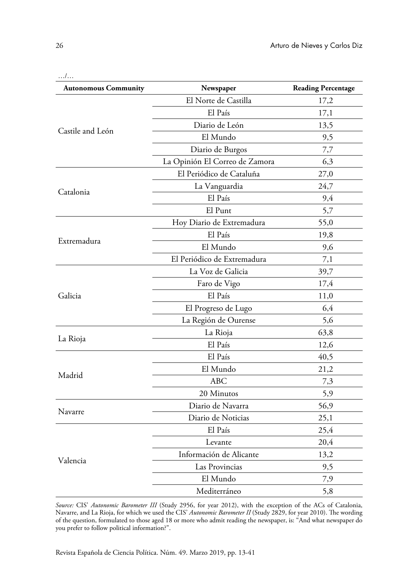| <b>Autonomous Community</b> | Newspaper                      | <b>Reading Percentage</b> |
|-----------------------------|--------------------------------|---------------------------|
|                             | El Norte de Castilla           | 17,2                      |
|                             | El País                        | 17,1                      |
|                             | Diario de León                 | 13,5                      |
| Castile and León            | El Mundo                       | 9,5                       |
|                             | Diario de Burgos               | 7,7                       |
|                             | La Opinión El Correo de Zamora | 6,3                       |
|                             | El Periódico de Cataluña       | 27,0                      |
| Catalonia                   | La Vanguardia                  | 24,7                      |
|                             | El País                        | 9,4                       |
|                             | El Punt                        | 5,7                       |
|                             | Hoy Diario de Extremadura      | 55,0                      |
| Extremadura                 | El País                        | 19,8                      |
|                             | El Mundo                       | 9,6                       |
|                             | El Periódico de Extremadura    | 7,1                       |
|                             | La Voz de Galicia              | 39,7                      |
|                             | Faro de Vigo                   | 17,4                      |
| Galicia                     | El País                        | 11,0                      |
|                             | El Progreso de Lugo            | 6,4                       |
|                             | La Región de Ourense           | 5,6                       |
|                             | La Rioja                       | 63,8                      |
| La Rioja                    | El País                        | 12,6                      |
|                             | El País                        | 40,5                      |
|                             | El Mundo                       | 21,2                      |
| Madrid                      | <b>ABC</b>                     | 7,3                       |
|                             | 20 Minutos                     | 5,9                       |
| Navarre                     | Diario de Navarra              | 56,9                      |
|                             | Diario de Noticias             | 25,1                      |
|                             | El País                        | 25,4                      |
|                             | Levante                        | 20,4                      |
| Valencia                    | Información de Alicante        | 13,2                      |
|                             | Las Provincias                 | 9,5                       |
|                             | El Mundo                       | 7,9                       |
|                             | Mediterráneo                   | 5,8                       |

*Source:* CIS' *Autonomic Barometer III* (Study 2956, for year 2012), with the exception of the ACs of Catalonia, Navarre, and La Rioja, for which we used the CIS' *Autonomic Barometer II* (Study 2829, for year 2010). The wording of the question, formulated to those aged 18 or more who admit reading the newspaper, is: "And what newspaper do you prefer to follow political information?".

…/…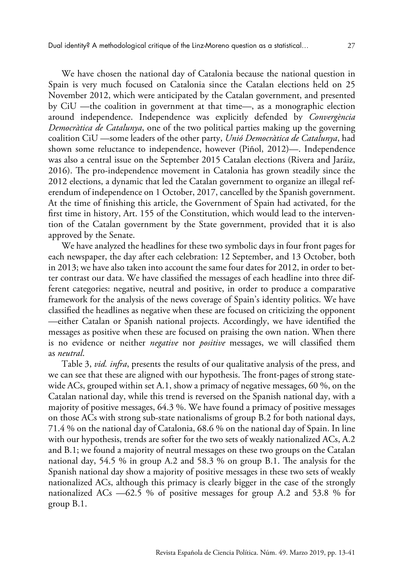We have chosen the national day of Catalonia because the national question in Spain is very much focused on Catalonia since the Catalan elections held on 25 November 2012, which were anticipated by the Catalan government, and presented by CiU —the coalition in government at that time—, as a monographic election around independence. Independence was explicitly defended by *Convergència Democràtica de Catalunya*, one of the two political parties making up the governing coalition CiU —some leaders of the other party, *Unió Democràtica de Catalunya*, had shown some reluctance to independence, however (Piñol, 2012)—. Independence was also a central issue on the September 2015 Catalan elections (Rivera and Jaráiz, 2016). The pro-independence movement in Catalonia has grown steadily since the 2012 elections, a dynamic that led the Catalan government to organize an illegal referendum of independence on 1 October, 2017, cancelled by the Spanish government. At the time of finishing this article, the Government of Spain had activated, for the first time in history, Art. 155 of the Constitution, which would lead to the intervention of the Catalan government by the State government, provided that it is also approved by the Senate.

We have analyzed the headlines for these two symbolic days in four front pages for each newspaper, the day after each celebration: 12 September, and 13 October, both in 2013; we have also taken into account the same four dates for 2012, in order to better contrast our data. We have classified the messages of each headline into three different categories: negative, neutral and positive, in order to produce a comparative framework for the analysis of the news coverage of Spain's identity politics. We have classified the headlines as negative when these are focused on criticizing the opponent —either Catalan or Spanish national projects. Accordingly, we have identified the messages as positive when these are focused on praising the own nation. When there is no evidence or neither *negative* nor *positive* messages, we will classified them as *neutral*.

Table 3, *vid. infra*, presents the results of our qualitative analysis of the press, and we can see that these are aligned with our hypothesis. The front-pages of strong statewide ACs, grouped within set A.1, show a primacy of negative messages,  $60\%$ , on the Catalan national day, while this trend is reversed on the Spanish national day, with a majority of positive messages, 64.3 %. We have found a primacy of positive messages on those ACs with strong sub-state nationalisms of group B.2 for both national days, 71.4 % on the national day of Catalonia, 68.6 % on the national day of Spain. In line with our hypothesis, trends are softer for the two sets of weakly nationalized ACs, A.2 and B.1; we found a majority of neutral messages on these two groups on the Catalan national day, 54.5 % in group A.2 and 58.3 % on group B.1. The analysis for the Spanish national day show a majority of positive messages in these two sets of weakly nationalized ACs, although this primacy is clearly bigger in the case of the strongly nationalized ACs —62.5 % of positive messages for group A.2 and 53.8 % for group B.1.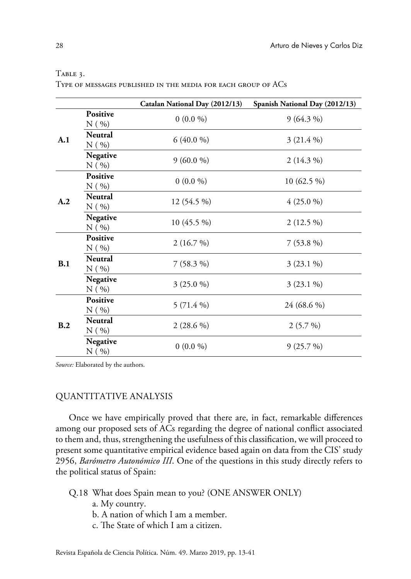|     |                            | Catalan National Day (2012/13) | Spanish National Day (2012/13) |
|-----|----------------------------|--------------------------------|--------------------------------|
| A.1 | Positive<br>$N($ %)        | $0(0.0\%)$                     | $9(64.3\%)$                    |
|     | <b>Neutral</b><br>$N($ %)  | $6(40.0\%)$                    | $3(21.4\%)$                    |
|     | Negative<br>$N($ %)        | $9(60.0\%)$                    | $2(14.3\%)$                    |
| A.2 | <b>Positive</b><br>$N($ %) | $0(0.0\%)$                     | 10 (62.5 %)                    |
|     | Neutral<br>$N($ %)         | $12(54.5\%)$                   | $4(25.0\%)$                    |
|     | Negative<br>$N($ %)        | $10(45.5\%)$                   | $2(12.5\%)$                    |
| B.1 | <b>Positive</b><br>$N($ %) | 2(16.7%)                       | $7(53.8\%)$                    |
|     | <b>Neutral</b><br>$N($ %)  | $7(58.3\%)$                    | $3(23.1\%)$                    |
|     | Negative<br>$N($ %)        | $3(25.0\%)$                    | $3(23.1\%)$                    |
| B.2 | <b>Positive</b><br>$N($ %) | 5 (71.4 %)                     | 24 (68.6 %)                    |
|     | <b>Neutral</b><br>$N($ %)  | $2(28.6\%)$                    | $2(5.7\%)$                     |
|     | Negative<br>$N($ %)        | $0(0.0\%)$                     | 9(25.7%)                       |

### Table 3.

Type of messages published in the media for each group of ACs

*Source:* Elaborated by the authors.

# QUANTITATIVE ANALYSIS

Once we have empirically proved that there are, in fact, remarkable differences among our proposed sets of ACs regarding the degree of national conflict associated to them and, thus, strengthening the usefulness of this classification, we will proceed to present some quantitative empirical evidence based again on data from the CIS' study 2956, *Barómetro Autonómico III*. One of the questions in this study directly refers to the political status of Spain:

- Q.18 What does Spain mean to you? (ONE ANSWER ONLY)
	- a. My country.
	- b. A nation of which I am a member.
	- c. The State of which I am a citizen.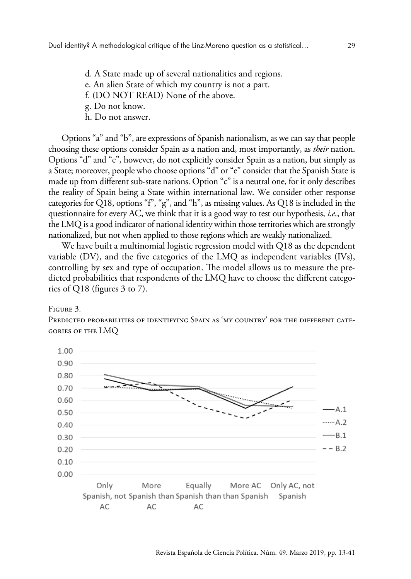- d. A State made up of several nationalities and regions.
- e. An alien State of which my country is not a part.
- f. (DO NOT READ) None of the above.
- g. Do not know.
- h. Do not answer.

Options "a" and "b", are expressions of Spanish nationalism, as we can say that people choosing these options consider Spain as a nation and, most importantly, as *their* nation. Options "d" and "e", however, do not explicitly consider Spain as a nation, but simply as a State; moreover, people who choose options "d" or "e" consider that the Spanish State is made up from different sub-state nations. Option "c" is a neutral one, for it only describes the reality of Spain being a State within international law. We consider other response categories for Q18, options "f", "g", and "h", as missing values. As Q18 is included in the questionnaire for every AC, we think that it is a good way to test our hypothesis, *i.e.*, that the LMQ is a good indicator of national identity within those territories which are strongly nationalized, but not when applied to those regions which are weakly nationalized.

We have built a multinomial logistic regression model with Q18 as the dependent variable (DV), and the five categories of the LMQ as independent variables (IVs), controlling by sex and type of occupation. The model allows us to measure the predicted probabilities that respondents of the LMQ have to choose the different categories of Q18 (figures 3 to 7).

### Figure 3.

Predicted probabilities of identifying Spain as 'my country' for the different categories of the LMQ

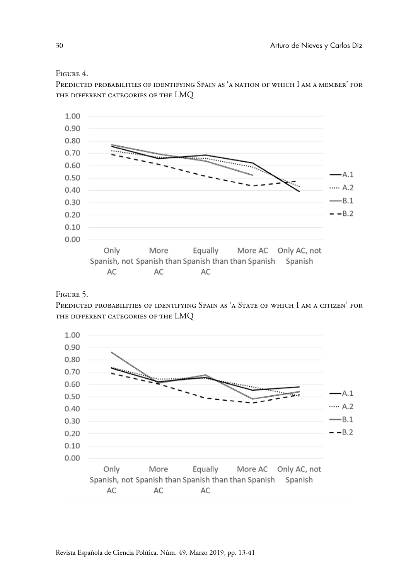### Figure 4.

Predicted probabilities of identifying Spain as 'a nation of which I am a member' for the different categories of the LMQ



# Figure 5.

PREDICTED PROBABILITIES OF IDENTIFYING SPAIN AS 'A STATE OF WHICH I AM A CITIZEN' FOR the different categories of the LMQ

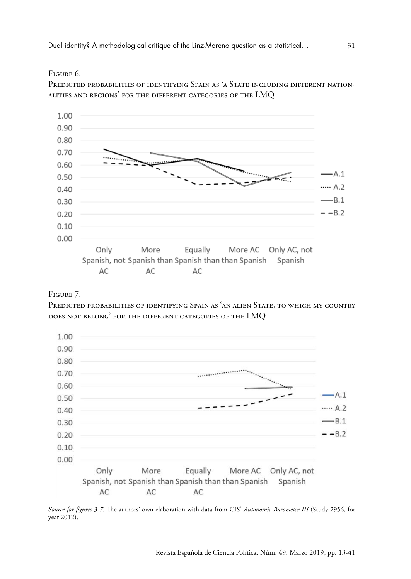### Figure 6.

Predicted probabilities of identifying Spain as 'a State including different nationalities and regions' for the different categories of the LMQ



# Figure 7.

Predicted probabilities of identifying Spain as 'an alien State, to which my country does not belong' for the different categories of the LMQ



*Source for figures 3-7:* The authors' own elaboration with data from CIS' *Autonomic Barometer III* (Study 2956, for year 2012).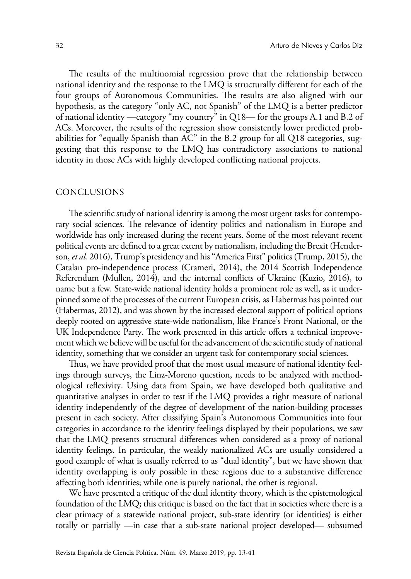The results of the multinomial regression prove that the relationship between national identity and the response to the LMQ is structurally different for each of the four groups of Autonomous Communities. The results are also aligned with our hypothesis, as the category "only AC, not Spanish" of the LMQ is a better predictor of national identity —category "my country" in Q18— for the groups A.1 and B.2 of ACs. Moreover, the results of the regression show consistently lower predicted probabilities for "equally Spanish than AC" in the B.2 group for all Q18 categories, suggesting that this response to the LMQ has contradictory associations to national identity in those ACs with highly developed conflicting national projects.

### CONCLUSIONS

The scientific study of national identity is among the most urgent tasks for contemporary social sciences. The relevance of identity politics and nationalism in Europe and worldwide has only increased during the recent years. Some of the most relevant recent political events are defined to a great extent by nationalism, including the Brexit (Henderson, *et al.* 2016), Trump's presidency and his "America First" politics (Trump, 2015), the Catalan pro-independence process (Crameri, 2014), the 2014 Scottish Independence Referendum (Mullen, 2014), and the internal conflicts of Ukraine (Kuzio, 2016), to name but a few. State-wide national identity holds a prominent role as well, as it underpinned some of the processes of the current European crisis, as Habermas has pointed out (Habermas, 2012), and was shown by the increased electoral support of political options deeply rooted on aggressive state-wide nationalism, like France's Front National, or the UK Independence Party. The work presented in this article offers a technical improvement which we believe will be useful for the advancement of the scientific study of national identity, something that we consider an urgent task for contemporary social sciences.

Thus, we have provided proof that the most usual measure of national identity feelings through surveys, the Linz-Moreno question, needs to be analyzed with methodological reflexivity. Using data from Spain, we have developed both qualitative and quantitative analyses in order to test if the LMQ provides a right measure of national identity independently of the degree of development of the nation-building processes present in each society. After classifying Spain's Autonomous Communities into four categories in accordance to the identity feelings displayed by their populations, we saw that the LMQ presents structural differences when considered as a proxy of national identity feelings. In particular, the weakly nationalized ACs are usually considered a good example of what is usually referred to as "dual identity", but we have shown that identity overlapping is only possible in these regions due to a substantive difference affecting both identities; while one is purely national, the other is regional.

We have presented a critique of the dual identity theory, which is the epistemological foundation of the LMQ; this critique is based on the fact that in societies where there is a clear primacy of a statewide national project, sub-state identity (or identities) is either totally or partially —in case that a sub-state national project developed— subsumed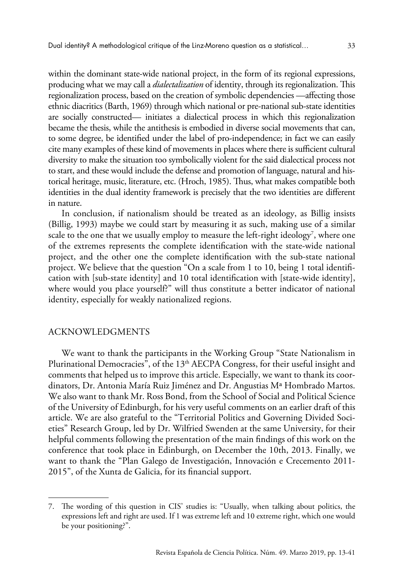within the dominant state-wide national project, in the form of its regional expressions, producing what we may call a *dialectalization* of identity, through its regionalization. This regionalization process, based on the creation of symbolic dependencies —affecting those ethnic diacritics (Barth, 1969) through which national or pre-national sub-state identities are socially constructed— initiates a dialectical process in which this regionalization became the thesis, while the antithesis is embodied in diverse social movements that can, to some degree, be identified under the label of pro-independence; in fact we can easily cite many examples of these kind of movements in places where there is sufficient cultural diversity to make the situation too symbolically violent for the said dialectical process not to start, and these would include the defense and promotion of language, natural and historical heritage, music, literature, etc. (Hroch, 1985). Thus, what makes compatible both identities in the dual identity framework is precisely that the two identities are different in nature.

In conclusion, if nationalism should be treated as an ideology, as Billig insists (Billig, 1993) maybe we could start by measuring it as such, making use of a similar scale to the one that we usually employ to measure the left-right ideology<sup>7</sup>, where one of the extremes represents the complete identification with the state-wide national project, and the other one the complete identification with the sub-state national project. We believe that the question "On a scale from 1 to 10, being 1 total identification with [sub-state identity] and 10 total identification with [state-wide identity], where would you place yourself?" will thus constitute a better indicator of national identity, especially for weakly nationalized regions.

### ACKNOWLEDGMENTS

We want to thank the participants in the Working Group "State Nationalism in Plurinational Democracies", of the  $13<sup>th</sup>$  AECPA Congress, for their useful insight and comments that helped us to improve this article. Especially, we want to thank its coordinators, Dr. Antonia María Ruiz Jiménez and Dr. Angustias Mª Hombrado Martos. We also want to thank Mr. Ross Bond, from the School of Social and Political Science of the University of Edinburgh, for his very useful comments on an earlier draft of this article. We are also grateful to the "Territorial Politics and Governing Divided Societies" Research Group, led by Dr. Wilfried Swenden at the same University, for their helpful comments following the presentation of the main findings of this work on the conference that took place in Edinburgh, on December the 10th, 2013. Finally, we want to thank the "Plan Galego de Investigación, Innovación e Crecemento 2011- 2015", of the Xunta de Galicia, for its financial support.

<sup>7.</sup> The wording of this question in CIS' studies is: "Usually, when talking about politics, the expressions left and right are used. If 1 was extreme left and 10 extreme right, which one would be your positioning?".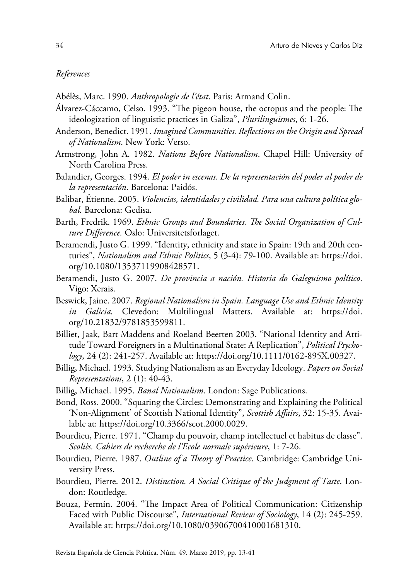### *References*

Abélès, Marc. 1990. *Anthropologie de l'état*. Paris: Armand Colin.

- Álvarez-Cáccamo, Celso. 1993. "The pigeon house, the octopus and the people: The ideologization of linguistic practices in Galiza", *Plurilinguismes*, 6: 1-26.
- Anderson, Benedict. 1991. *Imagined Communities. Reflections on the Origin and Spread of Nationalism*. New York: Verso.
- Armstrong, John A. 1982. *Nations Before Nationalism*. Chapel Hill: University of North Carolina Press.
- Balandier, Georges. 1994. *El poder in escenas. De la representación del poder al poder de la representación*. Barcelona: Paidós.
- Balibar, Étienne. 2005. *Violencias, identidades y civilidad. Para una cultura política global.* Barcelona: Gedisa.
- Barth, Fredrik. 1969. *Ethnic Groups and Boundaries. The Social Organization of Culture Difference.* Oslo: Universitetsforlaget.
- Beramendi, Justo G. 1999. "Identity, ethnicity and state in Spain: 19th and 20th centuries", *Nationalism and Ethnic Politics*, 5 (3-4): 79-100. Available at: [https://doi.](https://doi.org/10.1080/13537119908428571) [org/10.1080/13537119908428571](https://doi.org/10.1080/13537119908428571).
- Beramendi, Justo G. 2007. *De provincia a nación. Historia do Galeguismo político*. Vigo: Xerais.
- Beswick, Jaine. 2007. *Regional Nationalism in Spain. Language Use and Ethnic Identity in Galicia.* Clevedon: Multilingual Matters. Available at: [https://doi.](https://doi.org/10.21832/9781853599811) [org/10.21832/9781853599811.](https://doi.org/10.21832/9781853599811)
- Billiet, Jaak, Bart Maddens and Roeland Beerten 2003. "National Identity and Attitude Toward Foreigners in a Multinational State: A Replication", *Political Psychology*, 24 (2): 241-257. Available at:<https://doi.org/10.1111/0162-895X.00327>.
- Billig, Michael. 1993. Studying Nationalism as an Everyday Ideology. *Papers on Social Representations*, 2 (1): 40-43.
- Billig, Michael. 1995. *Banal Nationalism*. London: Sage Publications.
- Bond, Ross. 2000. "Squaring the Circles: Demonstrating and Explaining the Political 'Non-Alignment' of Scottish National Identity", *Scottish Affairs*, 32: 15-35. Available at: [https://doi.org/10.3366/scot.2000.0029.](https://doi.org/10.3366/scot.2000.0029)
- Bourdieu, Pierre. 1971. "Champ du pouvoir, champ intellectuel et habitus de classe". *Scoliès. Cahiers de recherche de l'Ecole normale supérieure*, 1: 7-26.
- Bourdieu, Pierre. 1987. *Outline of a Theory of Practice*. Cambridge: Cambridge University Press.
- Bourdieu, Pierre. 2012. *Distinction. A Social Critique of the Judgment of Taste*. London: Routledge.
- Bouza, Fermín. 2004. "The Impact Area of Political Communication: Citizenship Faced with Public Discourse", *International Review of Sociology*, 14 (2): 245-259. Available at:<https://doi.org/10.1080/03906700410001681310>.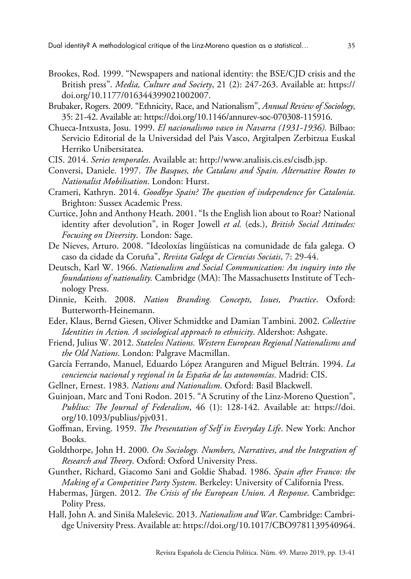- Brookes, Rod. 1999. "Newspapers and national identity: the BSE/CJD crisis and the British press". *Media, Culture and Society*, 21 (2): 247-263. Available at: [https://](https://doi.org/10.1177/016344399021002007) [doi.org/10.1177/016344399021002007.](https://doi.org/10.1177/016344399021002007)
- Brubaker, Rogers. 2009. "Ethnicity, Race, and Nationalism", *Annual Review of Sociology*, 35: 21-42. Available at:<https://doi.org/10.1146/annurev-soc-070308-115916>.
- Chueca-Intxusta, Josu. 1999. *El nacionalismo vasco in Navarra (1931-1936).* Bilbao: Servicio Editorial de la Universidad del Pais Vasco, Argitalpen Zerbitzua Euskal Herriko Unibersitatea.
- CIS. 2014. *Series temporales*. Available at:<http://www.analisis.cis.es/cisdb.jsp>.
- Conversi, Daniele. 1997. *The Basques, the Catalans and Spain. Alternative Routes to Nationalist Mobilisation*. London: Hurst.
- Crameri, Kathryn. 2014. *Goodbye Spain? The question of independence for Catalonia*. Brighton: Sussex Academic Press.
- Curtice, John and Anthony Heath. 2001. "Is the English lion about to Roar? National identity after devolution", in Roger Jowell *et al.* (eds.), *British Social Attitudes: Focusing on Diversity*. London: Sage.
- De Nieves, Arturo. 2008. "Ideoloxías lingüísticas na comunidade de fala galega. O caso da cidade da Coruña", *Revista Galega de Ciencias Sociais*, 7: 29-44.
- Deutsch, Karl W. 1966. *Nationalism and Social Communication: An inquiry into the foundations of nationality.* Cambridge (MA): The Massachusetts Institute of Technology Press.
- Dinnie, Keith. 2008. *Nation Branding. Concepts, Issues, Practice*. Oxford: Butterworth-Heinemann.
- Eder, Klaus, Bernd Giesen, Oliver Schmidtke and Damian Tambini. 2002. *Collective Identities in Action. A sociological approach to ethnicity*. Aldershot: Ashgate.
- Friend, Julius W. 2012. *Stateless Nations. Western European Regional Nationalisms and the Old Nations*. London: Palgrave Macmillan.
- García Ferrando, Manuel, Eduardo López Aranguren and Miguel Beltrán. 1994. *La conciencia nacional y regional in la España de las autonomías*. Madrid: CIS.
- Gellner, Ernest. 1983. *Nations and Nationalism*. Oxford: Basil Blackwell.
- Guinjoan, Marc and Toni Rodon. 2015. "A Scrutiny of the Linz-Moreno Question", *Publius: The Journal of Federalism*, 46 (1): 128-142. Available at: [https://doi.](https://doi.org/10.1093/publius/pjv031) [org/10.1093/publius/pjv031.](https://doi.org/10.1093/publius/pjv031)
- Goffman, Erving. 1959. *The Presentation of Self in Everyday Life*. New York: Anchor Books.
- Goldthorpe, John H. 2000. *On Sociology. Numbers, Narratives, and the Integration of Research and Theory*. Oxford: Oxford University Press.
- Gunther, Richard, Giacomo Sani and Goldie Shabad. 1986. *Spain after Franco: the Making of a Competitive Party System*. Berkeley: University of California Press.
- Habermas, Jürgen. 2012. *The Crisis of the European Union. A Response*. Cambridge: Polity Press.
- Hall, John A. and Siniša Maleševic. 2013. *Nationalism and War*. Cambridge: Cambridge University Press. Available at: [https://doi.org/10.1017/CBO9781139540964.](https://doi.org/10.1017/CBO9781139540964)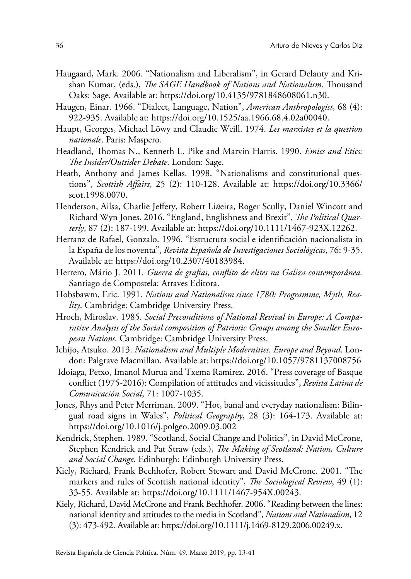- Haugaard, Mark. 2006. "Nationalism and Liberalism", in Gerard Delanty and Krishan Kumar, (eds.), *The SAGE Handbook of Nations and Nationalism*. Thousand Oaks: Sage. Available at: <https://doi.org/10.4135/9781848608061.n30>.
- Haugen, Einar. 1966. "Dialect, Language, Nation", *American Anthropologist*, 68 (4): 922-935. Available at: [https://doi.org/10.1525/aa.1966.68.4.02a00040.](https://doi.org/10.1525/aa.1966.68.4.02a00040)
- Haupt, Georges, Michael Löwy and Claudie Weill. 1974. *Les marxistes et la question nationale*. Paris: Maspero.
- Headland, Thomas N., Kenneth L. Pike and Marvin Harris. 1990. *Emics and Etics: The Insider/Outsider Debate*. London: Sage.
- Heath, Anthony and James Kellas. 1998. "Nationalisms and constitutional questions", *Scottish Affairs*, 25 (2): 110-128. Available at: [https://doi.org/10.3366/](https://doi.org/10.3366/scot.1998.0070) [scot.1998.0070.](https://doi.org/10.3366/scot.1998.0070)
- Henderson, Ailsa, Charlie Jeffery, Robert Li*ñ*eira, Roger Scully, Daniel Wincott and Richard Wyn Jones. 2016. "England, Englishness and Brexit", *The Political Quarterly*, 87 (2): 187-199. Available at:<https://doi.org/10.1111/1467-923X.12262>.
- Herranz de Rafael, Gonzalo. 1996. "Estructura social e identificación nacionalista in la España de los noventa", *Revista Española de Investigaciones Sociológicas*, 76: 9-35. Available at:<https://doi.org/10.2307/40183984>.
- Herrero, Mário J. 2011*. Guerra de grafias, conflito de elites na Galiza contemporânea.* Santiago de Compostela: Atraves Editora.
- Hobsbawm, Eric. 1991. *Nations and Nationalism since 1780: Programme, Myth, Reality*. Cambridge: Cambridge University Press.
- Hroch, Miroslav. 1985. *Social Preconditions of National Revival in Europe: A Comparative Analysis of the Social composition of Patriotic Groups among the Smaller European Nations.* Cambridge: Cambridge University Press.
- Ichijo, Atsuko. 2013. *Nationalism and Multiple Modernities. Europe and Beyond*. London: Palgrave Macmillan. Available at:<https://doi.org/10.1057/9781137008756>
- Idoiaga, Petxo, Imanol Murua and Txema Ramirez. 2016. "Press coverage of Basque conflict (1975-2016): Compilation of attitudes and vicissitudes", *Revista Latina de Comunicación Social*, 71: 1007-1035.
- Jones, Rhys and Peter Merriman. 2009. "Hot, banal and everyday nationalism: Bilingual road signs in Wales", *Political Geography*, 28 (3): 164-173. Available at: <https://doi.org/10.1016/j.polgeo.2009.03.002>
- Kendrick, Stephen. 1989. "Scotland, Social Change and Politics", in David McCrone, Stephen Kendrick and Pat Straw (eds.), *The Making of Scotland: Nation, Culture and Social Change*. Edinburgh: Edinburgh University Press.
- Kiely, Richard, Frank Bechhofer, Robert Stewart and David McCrone. 2001. "The markers and rules of Scottish national identity", *The Sociological Review*, 49 (1): 33-55. [Available at: https://doi.org/10.1111/1467-954X.00243.](https://doi.org/10.1111/1467-954X.00243)
- Kiely, Richard, David McCrone and Frank Bechhofer. 2006. "Reading between the lines: national identity and attitudes to the media in Scotland", *Nations and Nationalism*, 12 (3): 473-492. Available at:<https://doi.org/10.1111/j.1469-8129.2006.00249.x>.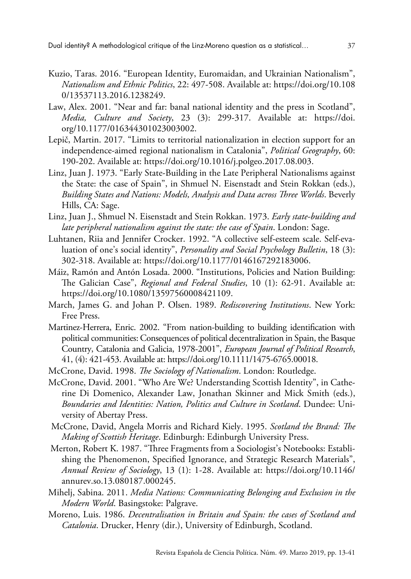- Kuzio, Taras. 2016. "European Identity, Euromaidan, and Ukrainian Nationalism", *Nationalism and Ethnic Politics*, 22: 497-508. Available at: [https://doi.org/10.108](https://doi.org/10.1080/13537113.2016.1238249) [0/13537113.2016.1238249](https://doi.org/10.1080/13537113.2016.1238249).
- Law, Alex. 2001. "Near and far: banal national identity and the press in Scotland", *Media, Culture and Society*, 23 (3): 299-317. Available at: [https://doi.](https://doi.org/10.1177/016344301023003002) [org/10.1177/016344301023003002](https://doi.org/10.1177/016344301023003002).
- Lepič, Martin. 2017. "Limits to territorial nationalization in election support for an independence-aimed regional nationalism in Catalonia", *Political Geography*, 60: 190-202. Available at: <https://doi.org/10.1016/j.polgeo.2017.08.003>.
- Linz, Juan J. 1973. "Early State-Building in the Late Peripheral Nationalisms against the State: the case of Spain", in Shmuel N. Eisenstadt and Stein Rokkan (eds.), *Building States and Nations: Models, Analysis and Data across Three Worlds*. Beverly Hills, CA: Sage.
- Linz, Juan J., Shmuel N. Eisenstadt and Stein Rokkan. 1973. *Early state-building and late peripheral nationalism against the state: the case of Spain*. London: Sage.
- Luhtanen, Riia and Jennifer Crocker. 1992. "A collective self-esteem scale. Self-evaluation of one's social identity", *Personality and Social Psychology Bulletin*, 18 (3): 302-318. Available at: [https://doi.org/10.1177/0146167292183006.](https://doi.org/10.1177/0146167292183006)
- Máiz, Ramón and Antón Losada. 2000. "Institutions, Policies and Nation Building: The Galician Case", *Regional and Federal Studies*, 10 (1): 62-91. Available at: [https://doi.org/10.1080/13597560008421109.](https://doi.org/10.1080/13597560008421109)
- March, James G. and Johan P. Olsen. 1989. *Rediscovering Institutions*. New York: Free Press.
- Martinez-Herrera, Enric. 2002. "From nation-building to building identification with political communities: Consequences of political decentralization in Spain, the Basque Country, Catalonia and Galicia, 1978-2001", *European Journal of Political Research*, 41, (4): 421-453. Available at: [https://doi.org/10.1111/1475-6765.00018.](https://doi.org/10.1111/1475-6765.00018)
- McCrone, David. 1998. *The Sociology of Nationalism*. London: Routledge.
- McCrone, David. 2001. "Who Are We? Understanding Scottish Identity", in Catherine Di Domenico, Alexander Law, Jonathan Skinner and Mick Smith (eds.), *Boundaries and Identities: Nation, Politics and Culture in Scotland*. Dundee: University of Abertay Press.
- McCrone, David, Angela Morris and Richard Kiely. 1995. *Scotland the Brand: The Making of Scottish Heritage*. Edinburgh: Edinburgh University Press.
- Merton, Robert K. 1987. "Three Fragments from a Sociologist's Notebooks: Establishing the Phenomenon, Specified Ignorance, and Strategic Research Materials", *Annual Review of Sociology*, 13 (1): 1-28. Available at: [https://doi.org/10.1146/](https://doi.org/10.1146/annurev.so.13.080187.000245) [annurev.so.13.080187.000245.](https://doi.org/10.1146/annurev.so.13.080187.000245)
- Mihelj, Sabina. 2011. *Media Nations: Communicating Belonging and Exclusion in the Modern World*. Basingstoke: Palgrave.
- Moreno, Luis. 1986. *Decentralisation in Britain and Spain: the cases of Scotland and Catalonia*. Drucker, Henry (dir.), University of Edinburgh, Scotland.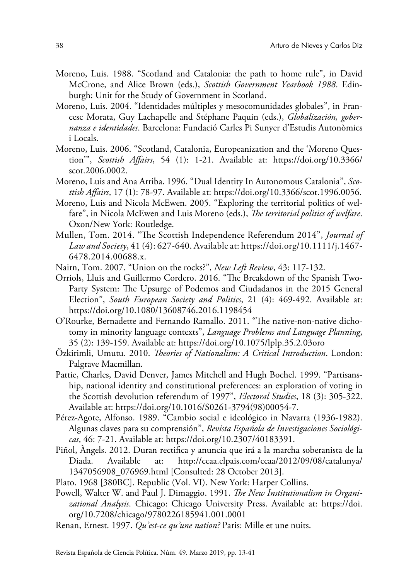- Moreno, Luis. 1988. "Scotland and Catalonia: the path to home rule", in David McCrone, and Alice Brown (eds.), *Scottish Government Yearbook 1988*. Edinburgh: Unit for the Study of Government in Scotland.
- Moreno, Luis. 2004. "Identidades múltiples y mesocomunidades globales", in Francesc Morata, Guy Lachapelle and Stéphane Paquin (eds.), *Globalización, gobernanza e identidades*. Barcelona: Fundació Carles Pi Sunyer d'Estudis Autonòmics i Locals.
- Moreno, Luis. 2006. "Scotland, Catalonia, Europeanization and the 'Moreno Question'", *Scottish Affairs*, 54 (1): 1-21. Available at: [https://doi.org/10.3366/](https://doi.org/10.3366/scot.2006.0002) [scot.2006.0002.](https://doi.org/10.3366/scot.2006.0002)
- Moreno, Luis and Ana Arriba. 1996. "Dual Identity In Autonomous Catalonia", *Scottish Affairs*, 17 (1): 78-97. Available at: [https://doi.org/10.3366/scot.1996.0056.](https://doi.org/10.3366/scot.1996.0056)
- Moreno, Luis and Nicola McEwen. 2005. "Exploring the territorial politics of welfare", in Nicola McEwen and Luis Moreno (eds.), *The territorial politics of welfare*. Oxon/New York: Routledge.
- Mullen, Tom. 2014. "The Scottish Independence Referendum 2014", *Journal of Law and Society*, 41 (4): 627-640. Available at: [https://doi.org/10.1111/j.1467-](https://doi.org/10.1111/j.1467-6478.2014.00688.x) [6478.2014.00688.x](https://doi.org/10.1111/j.1467-6478.2014.00688.x).
- Nairn, Tom. 2007. "Union on the rocks?", *New Left Review*, 43: 117-132.
- Orriols, Lluis and Guillermo Cordero. 2016. "The Breakdown of the Spanish Two-Party System: The Upsurge of Podemos and Ciudadanos in the 2015 General Election", *South European Society and Politics*, 21 (4): 469-492. Available at: <https://doi.org/10.1080/13608746.2016.1198454>
- O'Rourke, Bernadette and Fernando Ramallo. 2011. "The native-non-native dichotomy in minority language contexts", *Language Problems and Language Planning*, 35 (2): 139-159. Available at:<https://doi.org/10.1075/lplp.35.2.03oro>
- Özkirimli, Umutu. 2010. *Theories of Nationalism: A Critical Introduction*. London: Palgrave Macmillan.
- Pattie, Charles, David Denver, James Mitchell and Hugh Bochel. 1999. "Partisanship, national identity and constitutional preferences: an exploration of voting in the Scottish devolution referendum of 1997", *Electoral Studies*, 18 (3): 305-322. Available at: [https://doi.org/10.1016/S0261-3794\(98\)00054-7.](https://doi.org/10.1016/S0261-3794(98)00054-7)
- Pérez-Agote, Alfonso. 1989. "Cambio social e ideológico in Navarra (1936-1982). Algunas claves para su comprensión", *Revista Española de Investigaciones Sociológicas*, 46: 7-21. Available at:<https://doi.org/10.2307/40183391>.
- Piñol, Àngels. 2012. Duran rectifica y anuncia que irá a la marcha soberanista de la Diada. Available at: [http://ccaa.elpais.com/ccaa/2012/09/08/catalunya/](http://ccaa.elpais.com/ccaa/2012/09/08/catalunya/1347056908_076969.html) [1347056908\\_076969.html](http://ccaa.elpais.com/ccaa/2012/09/08/catalunya/1347056908_076969.html) [Consulted: 28 October 2013].
- Plato. 1968 [380BC]. Republic (Vol. VI). New York: Harper Collins.
- Powell, Walter W. and Paul J. Dimaggio. 1991. *The New Institutionalism in Organizational Analysis*. Chicago: Chicago University Press. Available at: [https://doi.](https://doi.org/10.7208/chicago/9780226185941.001.0001) [org/10.7208/chicago/9780226185941.001.0001](https://doi.org/10.7208/chicago/9780226185941.001.0001)
- Renan, Ernest. 1997. *Qu'est-ce qu'une nation?* Paris: Mille et une nuits.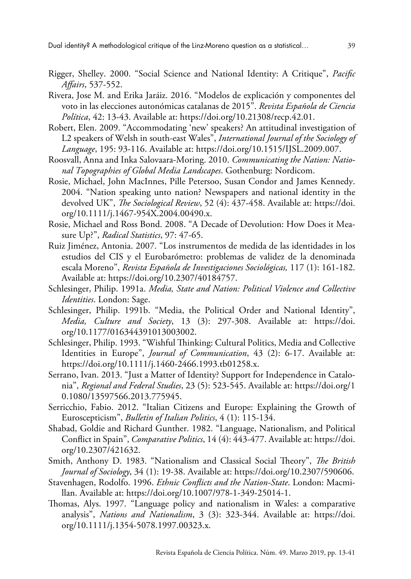Dual identity? A methodological critique of the Linz-Moreno question as a statistical… 39

- Rigger, Shelley. 2000. "Social Science and National Identity: A Critique", *Pacific Affairs*, 537-552.
- Rivera, Jose M. and Erika Jaráiz. 2016. "Modelos de explicación y componentes del voto in las elecciones autonómicas catalanas de 2015". *Revista Española de Ciencia Política*, 42: 13-43. Available at: [https://doi.org/10.21308/recp.42.01.](https://doi.org/10.21308/recp.42.01)
- Robert, Elen. 2009. "Accommodating 'new' speakers? An attitudinal investigation of L2 speakers of Welsh in south-east Wales", *International Journal of the Sociology of Language*, 195: 93-116. Available at: [https://doi.org/10.1515/IJSL.2009.007.](https://doi.org/10.1515/IJSL.2009.007)
- Roosvall, Anna and Inka Salovaara-Moring. 2010. *Communicating the Nation: National Topographies of Global Media Landscapes*. Gothenburg: Nordicom.
- Rosie, Michael, John MacInnes, Pille Petersoo, Susan Condor and James Kennedy. 2004. "Nation speaking unto nation? Newspapers and national identity in the devolved UK", *The Sociological Review*, 52 (4): 437-458. Available at: [https://doi.](https://doi.org/10.1111/j.1467-954X.2004.00490.x) [org/10.1111/j.1467-954X.2004.00490.x](https://doi.org/10.1111/j.1467-954X.2004.00490.x).
- Rosie, Michael and Ross Bond. 2008. "A Decade of Devolution: How Does it Measure Up?", *Radical Statistics*, 97: 47-65.
- Ruiz Jiménez, Antonia. 2007. "Los instrumentos de medida de las identidades in los estudios del CIS y el Eurobarómetro: problemas de validez de la denominada escala Moreno", *Revista Española de Investigaciones Sociológicas,* 117 (1): 161-182. Available at: [https://doi.org/10.2307/40184757.](https://doi.org/10.2307/40184757)
- Schlesinger, Philip. 1991a. *Media, State and Nation: Political Violence and Collective Identities*. London: Sage.
- Schlesinger, Philip. 1991b. "Media, the Political Order and National Identity", *Media, Culture and Society*, 13 (3): 297-308. Available at: [https://doi.](https://doi.org/10.1177/016344391013003002) [org/10.1177/016344391013003002](https://doi.org/10.1177/016344391013003002).
- Schlesinger, Philip. 1993. "Wishful Thinking: Cultural Politics, Media and Collective Identities in Europe", *Journal of Communication*, 43 (2): 6-17. Available at: [https://doi.org/10.1111/j.1460-2466.1993.tb01258.x.](https://doi.org/10.1111/j.1460-2466.1993.tb01258.x)
- Serrano, Ivan. 2013. "Just a Matter of Identity? Support for Independence in Catalonia", *Regional and Federal Studies*, 23 (5): 523-545. Available at: [https://doi.org/1](https://doi.org/10.1080/13597566.2013.775945) [0.1080/13597566.2013.775945.](https://doi.org/10.1080/13597566.2013.775945)
- Serricchio, Fabio. 2012. "Italian Citizens and Europe: Explaining the Growth of Euroscepticism", *Bulletin of Italian Politics*, 4 (1): 115-134.
- Shabad, Goldie and Richard Gunther. 1982. "Language, Nationalism, and Political Conflict in Spain", *Comparative Politics*, 14 (4): 443-477. Available at: [https://doi.](https://doi.org/10.2307/421632) [org/10.2307/421632](https://doi.org/10.2307/421632).
- Smith, Anthony D. 1983. "Nationalism and Classical Social Theory", *The British Journal of Sociology*, 34 (1): 19-38. Available at: [https://doi.org/10.2307/590606.](https://doi.org/10.2307/590606)
- Stavenhagen, Rodolfo. 1996. *Ethnic Conflicts and the Nation-State*. London: Macmillan. Available at: [https://doi.org/10.1007/978-1-349-25014-1.](https://doi.org/10.1007/978-1-349-25014-1)
- Thomas, Alys. 1997. "Language policy and nationalism in Wales: a comparative analysis", *Nations and Nationalism*, 3 (3): 323-344. Available at: [https://doi.](https://doi.org/10.1111/j.1354-5078.1997.00323.x) [org/10.1111/j.1354-5078.1997.00323.x.](https://doi.org/10.1111/j.1354-5078.1997.00323.x)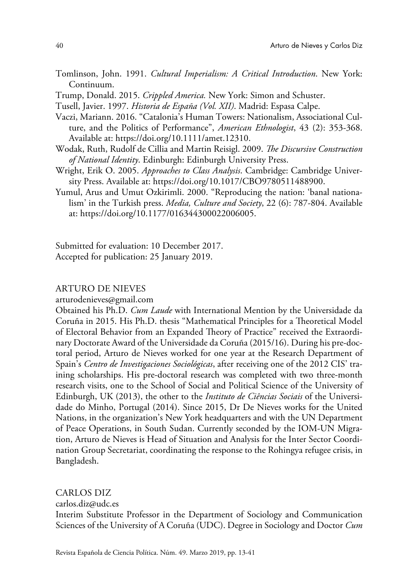- Tomlinson, John. 1991. *Cultural Imperialism: A Critical Introduction*. New York: Continuum.
- Trump, Donald. 2015. *Crippled America.* New York: Simon and Schuster.
- Tusell, Javier. 1997. *Historia de España (Vol. XII)*. Madrid: Espasa Calpe.
- Vaczi, Mariann. 2016. "Catalonia's Human Towers: Nationalism, Associational Culture, and the Politics of Performance", *American Ethnologist*, 43 (2): 353-368. Available at:<https://doi.org/10.1111/amet.12310>.
- Wodak, Ruth, Rudolf de Cillia and Martin Reisigl. 2009. *The Discursive Construction of National Identity*. Edinburgh: Edinburgh University Press.
- Wright, Erik O. 2005. *Approaches to Class Analysis*. Cambridge: Cambridge University Press. Available at: [https://doi.org/10.1017/CBO9780511488900.](https://doi.org/10.1017/CBO9780511488900)
- Yumul, Arus and Umut Ozkirimli. 2000. "Reproducing the nation: 'banal nationalism' in the Turkish press. *Media, Culture and Society*, 22 (6): 787-804. Available at: [https://doi.org/10.1177/016344300022006005.](https://doi.org/10.1177/016344300022006005)

Submitted for evaluation: 10 December 2017. Accepted for publication: 25 January 2019.

#### ARTURO DE NIEVES

[arturodenieves@gmail.com](mailto:arturodenieves@gmail.com)

Obtained his Ph.D. *Cum Laude* with International Mention by the Universidade da Coruña in 2015. His Ph.D. thesis "Mathematical Principles for a Theoretical Model of Electoral Behavior from an Expanded Theory of Practice" received the Extraordinary Doctorate Award of the Universidade da Coruña (2015/16). During his pre-doctoral period, Arturo de Nieves worked for one year at the Research Department of Spain's *Centro de Investigaciones Sociológicas*, after receiving one of the 2012 CIS' training scholarships. His pre-doctoral research was completed with two three-month research visits, one to the School of Social and Political Science of the University of Edinburgh, UK (2013), the other to the *Instituto de Ciências Sociais* of the Universidade do Minho, Portugal (2014). Since 2015, Dr De Nieves works for the United Nations, in the organization's New York headquarters and with the UN Department of Peace Operations, in South Sudan. Currently seconded by the IOM-UN Migration, Arturo de Nieves is Head of Situation and Analysis for the Inter Sector Coordination Group Secretariat, coordinating the response to the Rohingya refugee crisis, in Bangladesh.

### CARLOS DIZ

[carlos.diz@udc.es](mailto:carlos.diz@udc.es)

Interim Substitute Professor in the Department of Sociology and Communication Sciences of the University of A Coruña (UDC). Degree in Sociology and Doctor *Cum*